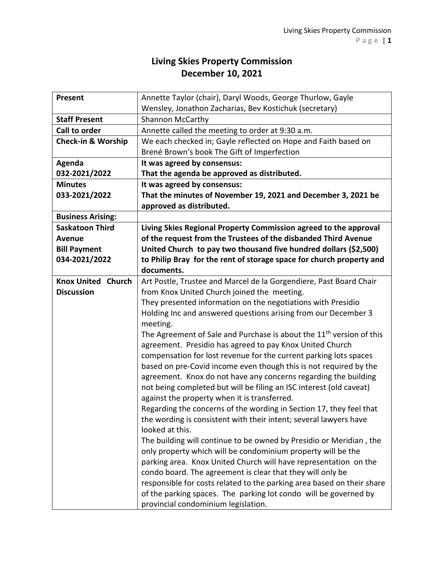## **Living Skies Property Commission December 10, 2021**

| Present                       | Annette Taylor (chair), Daryl Woods, George Thurlow, Gayle                                                                               |
|-------------------------------|------------------------------------------------------------------------------------------------------------------------------------------|
|                               | Wensley, Jonathon Zacharias, Bev Kostichuk (secretary)                                                                                   |
| <b>Staff Present</b>          | <b>Shannon McCarthy</b>                                                                                                                  |
| <b>Call to order</b>          | Annette called the meeting to order at 9:30 a.m.                                                                                         |
| <b>Check-in &amp; Worship</b> | We each checked in; Gayle reflected on Hope and Faith based on                                                                           |
|                               | Brené Brown's book The Gift of Imperfection                                                                                              |
| Agenda                        | It was agreed by consensus:                                                                                                              |
| 032-2021/2022                 | That the agenda be approved as distributed.                                                                                              |
| <b>Minutes</b>                | It was agreed by consensus:                                                                                                              |
| 033-2021/2022                 | That the minutes of November 19, 2021 and December 3, 2021 be                                                                            |
|                               | approved as distributed.                                                                                                                 |
| <b>Business Arising:</b>      |                                                                                                                                          |
| <b>Saskatoon Third</b>        | Living Skies Regional Property Commission agreed to the approval                                                                         |
| <b>Avenue</b>                 | of the request from the Trustees of the disbanded Third Avenue                                                                           |
| <b>Bill Payment</b>           | United Church to pay two thousand five hundred dollars (\$2,500)                                                                         |
| 034-2021/2022                 | to Philip Bray for the rent of storage space for church property and                                                                     |
|                               | documents.                                                                                                                               |
| <b>Knox United Church</b>     | Art Postle, Trustee and Marcel de la Gorgendiere, Past Board Chair                                                                       |
| <b>Discussion</b>             | from Knox United Church joined the meeting.                                                                                              |
|                               | They presented information on the negotiations with Presidio                                                                             |
|                               | Holding Inc and answered questions arising from our December 3                                                                           |
|                               | meeting.                                                                                                                                 |
|                               | The Agreement of Sale and Purchase is about the 11 <sup>th</sup> version of this                                                         |
|                               | agreement. Presidio has agreed to pay Knox United Church                                                                                 |
|                               | compensation for lost revenue for the current parking lots spaces                                                                        |
|                               | based on pre-Covid income even though this is not required by the                                                                        |
|                               | agreement. Knox do not have any concerns regarding the building                                                                          |
|                               | not being completed but will be filing an ISC interest (old caveat)                                                                      |
|                               | against the property when it is transferred.                                                                                             |
|                               | Regarding the concerns of the wording in Section 17, they feel that<br>the wording is consistent with their intent; several lawyers have |
|                               | looked at this.                                                                                                                          |
|                               | The building will continue to be owned by Presidio or Meridian, the                                                                      |
|                               | only property which will be condominium property will be the                                                                             |
|                               | parking area. Knox United Church will have representation on the                                                                         |
|                               | condo board. The agreement is clear that they will only be                                                                               |
|                               | responsible for costs related to the parking area based on their share                                                                   |
|                               | of the parking spaces. The parking lot condo will be governed by                                                                         |
|                               | provincial condominium legislation.                                                                                                      |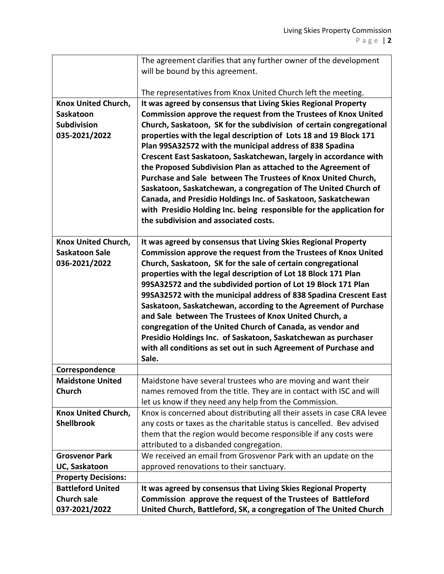|                            | The agreement clarifies that any further owner of the development                                                               |
|----------------------------|---------------------------------------------------------------------------------------------------------------------------------|
|                            | will be bound by this agreement.                                                                                                |
|                            |                                                                                                                                 |
|                            | The representatives from Knox United Church left the meeting.                                                                   |
| <b>Knox United Church,</b> | It was agreed by consensus that Living Skies Regional Property                                                                  |
| Saskatoon                  | Commission approve the request from the Trustees of Knox United                                                                 |
| <b>Subdivision</b>         | Church, Saskatoon, SK for the subdivision of certain congregational                                                             |
| 035-2021/2022              | properties with the legal description of Lots 18 and 19 Block 171                                                               |
|                            | Plan 99SA32572 with the municipal address of 838 Spadina                                                                        |
|                            | Crescent East Saskatoon, Saskatchewan, largely in accordance with                                                               |
|                            | the Proposed Subdivision Plan as attached to the Agreement of                                                                   |
|                            | Purchase and Sale between The Trustees of Knox United Church,                                                                   |
|                            | Saskatoon, Saskatchewan, a congregation of The United Church of                                                                 |
|                            | Canada, and Presidio Holdings Inc. of Saskatoon, Saskatchewan                                                                   |
|                            | with Presidio Holding Inc. being responsible for the application for                                                            |
|                            | the subdivision and associated costs.                                                                                           |
| Knox United Church,        | It was agreed by consensus that Living Skies Regional Property                                                                  |
| <b>Saskatoon Sale</b>      | Commission approve the request from the Trustees of Knox United                                                                 |
| 036-2021/2022              |                                                                                                                                 |
|                            | Church, Saskatoon, SK for the sale of certain congregational                                                                    |
|                            | properties with the legal description of Lot 18 Block 171 Plan<br>99SA32572 and the subdivided portion of Lot 19 Block 171 Plan |
|                            | 99SA32572 with the municipal address of 838 Spadina Crescent East                                                               |
|                            | Saskatoon, Saskatchewan, according to the Agreement of Purchase                                                                 |
|                            | and Sale between The Trustees of Knox United Church, a                                                                          |
|                            | congregation of the United Church of Canada, as vendor and                                                                      |
|                            | Presidio Holdings Inc. of Saskatoon, Saskatchewan as purchaser                                                                  |
|                            | with all conditions as set out in such Agreement of Purchase and                                                                |
|                            | Sale.                                                                                                                           |
| Correspondence             |                                                                                                                                 |
| <b>Maidstone United</b>    | Maidstone have several trustees who are moving and want their                                                                   |
| <b>Church</b>              | names removed from the title. They are in contact with ISC and will                                                             |
|                            | let us know if they need any help from the Commission.                                                                          |
| Knox United Church,        | Knox is concerned about distributing all their assets in case CRA levee                                                         |
| <b>Shellbrook</b>          | any costs or taxes as the charitable status is cancelled. Bev advised                                                           |
|                            | them that the region would become responsible if any costs were                                                                 |
|                            | attributed to a disbanded congregation.                                                                                         |
| <b>Grosvenor Park</b>      | We received an email from Grosvenor Park with an update on the                                                                  |
| UC, Saskatoon              | approved renovations to their sanctuary.                                                                                        |
| <b>Property Decisions:</b> |                                                                                                                                 |
| <b>Battleford United</b>   | It was agreed by consensus that Living Skies Regional Property                                                                  |
| <b>Church sale</b>         | Commission approve the request of the Trustees of Battleford                                                                    |
|                            |                                                                                                                                 |